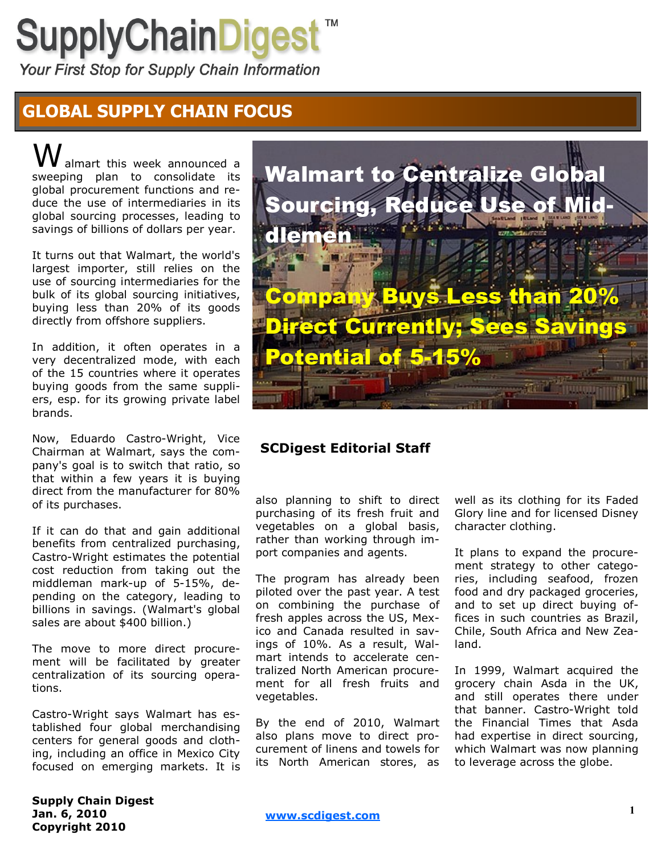## **SupplyChainDigest**

Your First Stop for Supply Chain Information

## **GLOBAL SUPPLY CHAIN FOCUS**

almart this week announced a sweeping plan to consolidate its global procurement functions and reduce the use of intermediaries in its global sourcing processes, leading to savings of billions of dollars per year.

It turns out that Walmart, the world's largest importer, still relies on the use of sourcing intermediaries for the bulk of its global sourcing initiatives, buying less than 20% of its goods directly from offshore suppliers.

In addition, it often operates in a very decentralized mode, with each of the 15 countries where it operates buying goods from the same suppliers, esp. for its growing private label brands.

Now, Eduardo Castro-Wright, Vice Chairman at Walmart, says the company's goal is to switch that ratio, so that within a few years it is buying direct from the manufacturer for 80% of its purchases.

If it can do that and gain additional benefits from centralized purchasing, Castro-Wright estimates the potential cost reduction from taking out the middleman mark-up of 5-15%, depending on the category, leading to billions in savings. (Walmart's global sales are about \$400 billion.)

The move to more direct procurement will be facilitated by greater centralization of its sourcing operations.

Castro-Wright says Walmart has established four global merchandising centers for general goods and clothing, including an office in Mexico City focused on emerging markets. It is



## **SCDigest Editorial Staff**

also planning to shift to direct purchasing of its fresh fruit and vegetables on a global basis, rather than working through import companies and agents.

The program has already been piloted over the past year. A test on combining the purchase of fresh apples across the US, Mexico and Canada resulted in savings of 10%. As a result, Walmart intends to accelerate centralized North American procurement for all fresh fruits and vegetables.

By the end of 2010, Walmart also plans move to direct procurement of linens and towels for its North American stores, as

well as its clothing for its Faded Glory line and for licensed Disney character clothing.

It plans to expand the procurement strategy to other categories, including seafood, frozen food and dry packaged groceries, and to set up direct buying offices in such countries as Brazil, Chile, South Africa and New Zealand.

In 1999, Walmart acquired the grocery chain Asda in the UK, and still operates there under that banner. Castro-Wright told the Financial Times that Asda had expertise in direct sourcing, which Walmart was now planning to leverage across the globe.

**Supply Chain Digest Jan. 6, 2010 Copyright 2010**